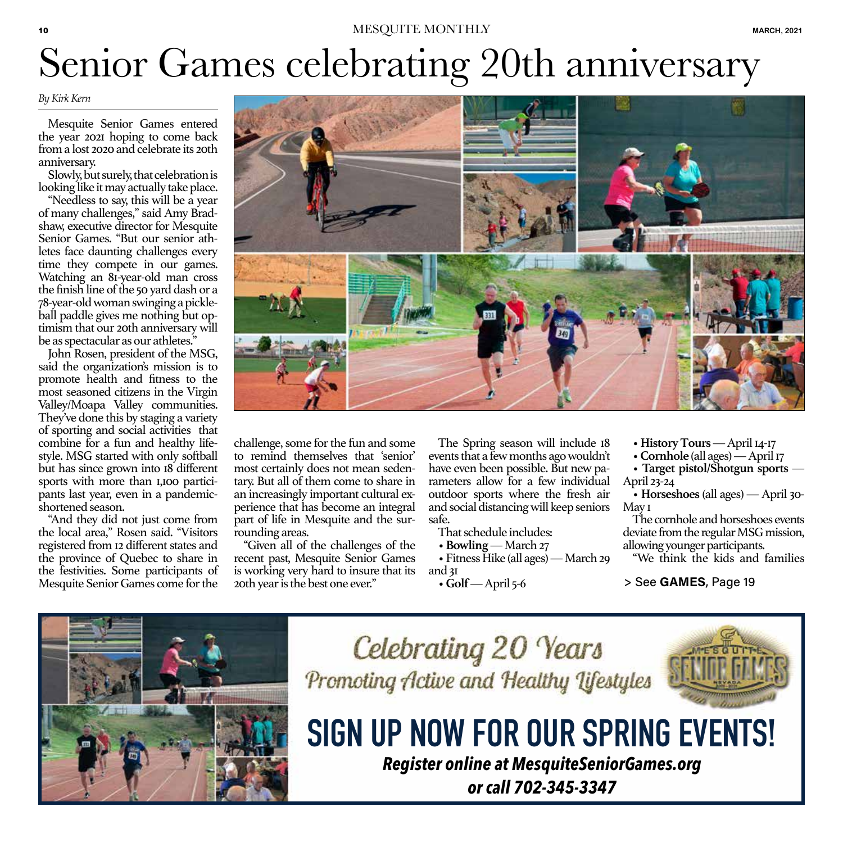#### 10 MESQUITE MONTHLY **MARCH, 2021**

# Senior Games celebrating 20th anniversary

#### *By Kirk Kern*

Mesquite Senior Games entered the year 2021 hoping to come back from a lost 2020 and celebrate its 20th anniversary.

Slowly, but surely, that celebration is looking like it may actually take place.

"Needless to say, this will be a year of many challenges," said Amy Bradshaw, executive director for Mesquite Senior Games. "But our senior athletes face daunting challenges every time they compete in our games. Watching an 81-year-old man cross the finish line of the 50 yard dash or a 78-year-old woman swinging a pickleball paddle gives me nothing but optimism that our 20th anniversary will be as spectacular as our athletes."

John Rosen, president of the MSG, said the organization's mission is to promote health and fitness to the most seasoned citizens in the Virgin Valley/Moapa Valley communities. They've done this by staging a variety of sporting and social activities that combine for a fun and healthy lifestyle. MSG started with only softball but has since grown into 18 different sports with more than 1,100 participants last year, even in a pandemicshortened season.

"And they did not just come from the local area," Rosen said. "Visitors registered from 12 different states and the province of Quebec to share in the festivities. Some participants of Mesquite Senior Games come for the



challenge, some for the fun and some to remind themselves that 'senior' most certainly does not mean sedentary. But all of them come to share in an increasingly important cultural experience that has become an integral part of life in Mesquite and the surrounding areas.

"Given all of the challenges of the recent past, Mesquite Senior Games is working very hard to insure that its 20th year is the best one ever."

The Spring season will include 18 events that a few months ago wouldn't have even been possible. But new parameters allow for a few individual outdoor sports where the fresh air and social distancing will keep seniors safe.

That schedule includes:

• **Bowling** — March 27

• Fitness Hike (all ages) — March 29 and 31

• **Golf** — April 5-6

- **History Tours** April 14-17
- **Cornhole** (all ages) April 17

• **Target pistol/Shotgun sports** — April 23-24

• **Horseshoes** (all ages) — April 30- May 1

The cornhole and horseshoes events deviate from the regular MSG mission, allowing younger participants.

"We think the kids and families

> See GAMES, Page 19



Celebrating 20 Years Promoting Active and Healthy Lifestyles



# **SIGN UP NOW FOR OUR SPRING EVENTS!**

*Register online at MesquiteSeniorGames.org or call 702-345-3347*